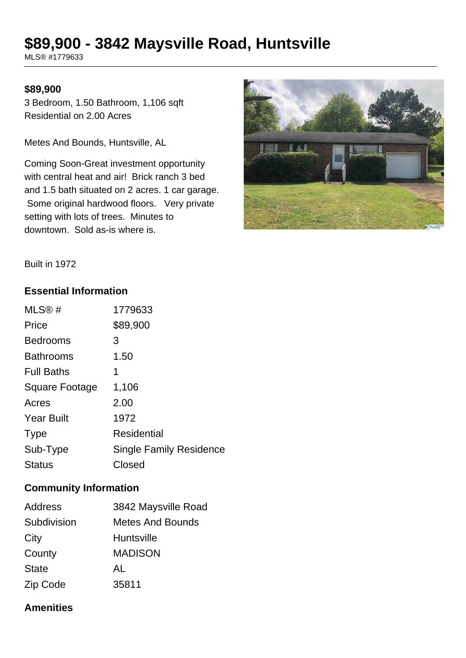# **\$89,900 - 3842 Maysville Road, Huntsville**

MLS® #1779633

#### **\$89,900**

3 Bedroom, 1.50 Bathroom, 1,106 sqft Residential on 2.00 Acres

Metes And Bounds, Huntsville, AL

Coming Soon-Great investment opportunity with central heat and air! Brick ranch 3 bed and 1.5 bath situated on 2 acres. 1 car garage. Some original hardwood floors. Very private setting with lots of trees. Minutes to downtown. Sold as-is where is.



Built in 1972

#### **Essential Information**

| MLS@#             | 1779633                        |
|-------------------|--------------------------------|
| Price             | \$89,900                       |
| <b>Bedrooms</b>   | З                              |
| <b>Bathrooms</b>  | 1.50                           |
| <b>Full Baths</b> | 1                              |
| Square Footage    | 1,106                          |
| Acres             | 2.00                           |
| <b>Year Built</b> | 1972                           |
| <b>Type</b>       | Residential                    |
| Sub-Type          | <b>Single Family Residence</b> |
| <b>Status</b>     | Closed                         |

#### **Community Information**

| <b>Address</b> | 3842 Maysville Road     |
|----------------|-------------------------|
| Subdivision    | <b>Metes And Bounds</b> |
| City           | Huntsville              |
| County         | <b>MADISON</b>          |
| <b>State</b>   | AL                      |
| Zip Code       | 35811                   |

#### **Amenities**